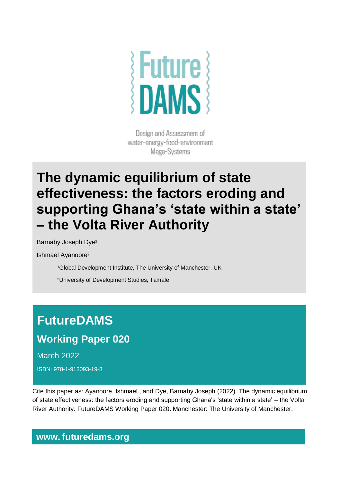

Design and Assessment of water-energy-food-environment Mega-Systems

## **The dynamic equilibrium of state effectiveness: the factors eroding and supporting Ghana's 'state within a state' – the Volta River Authority**

Barnaby Joseph Dye<sup>1</sup>

Ishmael Ayanoore²

<sup>1</sup>Global Development Institute, The University of Manchester, UK

²University of Development Studies, Tamale

# **FutureDAMS**

## **Working Paper 020**

March 2022

ISBN: 978-1-913093-19-8

Cite this paper as: Ayanoore, Ishmael., and Dye, Barnaby Joseph (2022). The dynamic equilibrium of state effectiveness: the factors eroding and supporting Ghana's 'state within a state' – the Volta River Authority. FutureDAMS Working Paper 020. Manchester: The University of Manchester.

### **www. futuredams.org**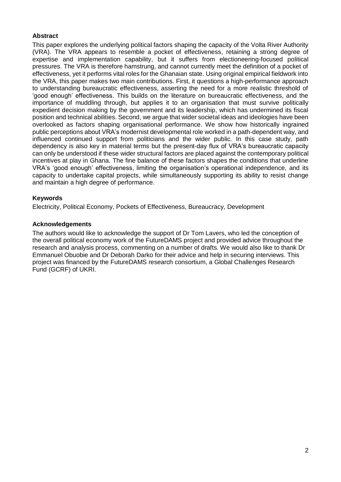#### **Abstract**

This paper explores the underlying political factors shaping the capacity of the Volta River Authority (VRA). The VRA appears to resemble a pocket of effectiveness, retaining a strong degree of expertise and implementation capability, but it suffers from electioneering-focused political pressures. The VRA is therefore hamstrung, and cannot currently meet the definition of a pocket of effectiveness, yet it performs vital roles for the Ghanaian state. Using original empirical fieldwork into the VRA, this paper makes two main contributions. First, it questions a high-performance approach to understanding bureaucratic effectiveness, asserting the need for a more realistic threshold of 'good enough' effectiveness. This builds on the literature on bureaucratic effectiveness, and the importance of muddling through, but applies it to an organisation that must survive politically expedient decision making by the government and its leadership, which has undermined its fiscal position and technical abilities. Second, we argue that wider societal ideas and ideologies have been overlooked as factors shaping organisational performance. We show how historically ingrained public perceptions about VRA's modernist developmental role worked in a path-dependent way, and influenced continued support from politicians and the wider public. In this case study, path dependency is also key in material terms but the present-day flux of VRA's bureaucratic capacity can only be understood if these wider structural factors are placed against the contemporary political incentives at play in Ghana. The fine balance of these factors shapes the conditions that underline VRA's 'good enough' effectiveness, limiting the organisation's operational independence, and its capacity to undertake capital projects, while simultaneously supporting its ability to resist change and maintain a high degree of performance.

#### **Keywords**

Electricity, Political Economy, Pockets of Effectiveness, Bureaucracy, Development

#### **Acknowledgements**

The authors would like to acknowledge the support of Dr Tom Lavers, who led the conception of the overall political economy work of the FutureDAMS project and provided advice throughout the research and analysis process, commenting on a number of drafts. We would also like to thank Dr Emmanuel Obuobie and Dr Deborah Darko for their advice and help in securing interviews. This project was financed by the FutureDAMS research consortium, a Global Challenges Research Fund (GCRF) of UKRI.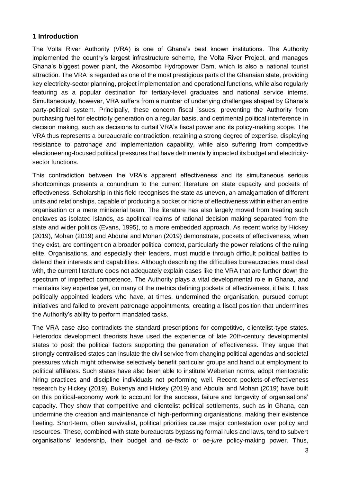#### **1 Introduction**

The Volta River Authority (VRA) is one of Ghana's best known institutions. The Authority implemented the country's largest infrastructure scheme, the Volta River Project, and manages Ghana's biggest power plant, the Akosombo Hydropower Dam, which is also a national tourist attraction. The VRA is regarded as one of the most prestigious parts of the Ghanaian state, providing key electricity-sector planning, project implementation and operational functions, while also regularly featuring as a popular destination for tertiary-level graduates and national service interns. Simultaneously, however, VRA suffers from a number of underlying challenges shaped by Ghana's party-political system. Principally, these concern fiscal issues, preventing the Authority from purchasing fuel for electricity generation on a regular basis, and detrimental political interference in decision making, such as decisions to curtail VRA's fiscal power and its policy-making scope. The VRA thus represents a bureaucratic contradiction, retaining a strong degree of expertise, displaying resistance to patronage and implementation capability, while also suffering from competitive electioneering-focused political pressures that have detrimentally impacted its budget and electricitysector functions.

This contradiction between the VRA's apparent effectiveness and its simultaneous serious shortcomings presents a conundrum to the current literature on state capacity and pockets of effectiveness. Scholarship in this field recognises the state as uneven, an amalgamation of different units and relationships, capable of producing a pocket or niche of effectiveness within either an entire organisation or a mere ministerial team. The literature has also largely moved from treating such enclaves as isolated islands, as apolitical realms of rational decision making separated from the state and wider politics (Evans, 1995), to a more embedded approach. As recent works by Hickey (2019), Mohan (2019) and Abdulai and Mohan (2019) demonstrate, pockets of effectiveness, when they exist, are contingent on a broader political context, particularly the power relations of the ruling elite. Organisations, and especially their leaders, must muddle through difficult political battles to defend their interests and capabilities. Although describing the difficulties bureaucracies must deal with, the current literature does not adequately explain cases like the VRA that are further down the spectrum of imperfect competence. The Authority plays a vital developmental role in Ghana, and maintains key expertise yet, on many of the metrics defining pockets of effectiveness, it fails. It has politically appointed leaders who have, at times, undermined the organisation, pursued corrupt initiatives and failed to prevent patronage appointments, creating a fiscal position that undermines the Authority's ability to perform mandated tasks.

The VRA case also contradicts the standard prescriptions for competitive, clientelist-type states. Heterodox development theorists have used the experience of late 20th-century developmental states to posit the political factors supporting the generation of effectiveness. They argue that strongly centralised states can insulate the civil service from changing political agendas and societal pressures which might otherwise selectively benefit particular groups and hand out employment to political affiliates. Such states have also been able to institute Weberian norms, adopt meritocratic hiring practices and discipline individuals not performing well. Recent pockets-of-effectiveness research by Hickey (2019), Bukenya and Hickey (2019) and Abdulai and Mohan (2019) have built on this political-economy work to account for the success, failure and longevity of organisations' capacity. They show that competitive and clientelist political settlements, such as in Ghana, can undermine the creation and maintenance of high-performing organisations, making their existence fleeting. Short-term, often survivalist, political priorities cause major contestation over policy and resources. These, combined with state bureaucrats bypassing formal rules and laws, tend to subvert organisations' leadership, their budget and *de-facto* or *de-jure* policy-making power. Thus,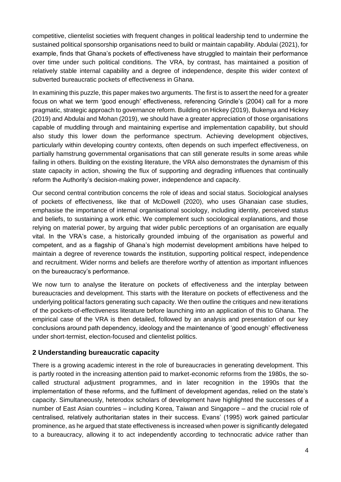competitive, clientelist societies with frequent changes in political leadership tend to undermine the sustained political sponsorship organisations need to build or maintain capability. Abdulai (2021), for example, finds that Ghana's pockets of effectiveness have struggled to maintain their performance over time under such political conditions. The VRA, by contrast, has maintained a position of relatively stable internal capability and a degree of independence, despite this wider context of subverted bureaucratic pockets of effectiveness in Ghana.

In examining this puzzle, this paper makes two arguments. The first is to assert the need for a greater focus on what we term 'good enough' effectiveness, referencing Grindle's (2004) call for a more pragmatic, strategic approach to governance reform. Building on Hickey (2019), Bukenya and Hickey (2019) and Abdulai and Mohan (2019), we should have a greater appreciation of those organisations capable of muddling through and maintaining expertise and implementation capability, but should also study this lower down the performance spectrum. Achieving development objectives, particularly within developing country contexts, often depends on such imperfect effectiveness, on partially hamstrung governmental organisations that can still generate results in some areas while failing in others. Building on the existing literature, the VRA also demonstrates the dynamism of this state capacity in action, showing the flux of supporting and degrading influences that continually reform the Authority's decision-making power, independence and capacity.

Our second central contribution concerns the role of ideas and social status. Sociological analyses of pockets of effectiveness, like that of McDowell (2020), who uses Ghanaian case studies, emphasise the importance of internal organisational sociology, including identity, perceived status and beliefs, to sustaining a work ethic. We complement such sociological explanations, and those relying on material power, by arguing that wider public perceptions of an organisation are equally vital. In the VRA's case, a historically grounded imbuing of the organisation as powerful and competent, and as a flagship of Ghana's high modernist development ambitions have helped to maintain a degree of reverence towards the institution, supporting political respect, independence and recruitment. Wider norms and beliefs are therefore worthy of attention as important influences on the bureaucracy's performance.

We now turn to analyse the literature on pockets of effectiveness and the interplay between bureaucracies and development. This starts with the literature on pockets of effectiveness and the underlying political factors generating such capacity. We then outline the critiques and new iterations of the pockets-of-effectiveness literature before launching into an application of this to Ghana. The empirical case of the VRA is then detailed, followed by an analysis and presentation of our key conclusions around path dependency, ideology and the maintenance of 'good enough' effectiveness under short-termist, election-focused and clientelist politics.

#### **2 Understanding bureaucratic capacity**

There is a growing academic interest in the role of bureaucracies in generating development. This is partly rooted in the increasing attention paid to market-economic reforms from the 1980s, the socalled structural adjustment programmes, and in later recognition in the 1990s that the implementation of these reforms, and the fulfilment of development agendas, relied on the state's capacity. Simultaneously, heterodox scholars of development have highlighted the successes of a number of East Asian countries – including Korea, Taiwan and Singapore – and the crucial role of centralised, relatively authoritarian states in their success. Evans' (1995) work gained particular prominence, as he argued that state effectiveness is increased when power is significantly delegated to a bureaucracy, allowing it to act independently according to technocratic advice rather than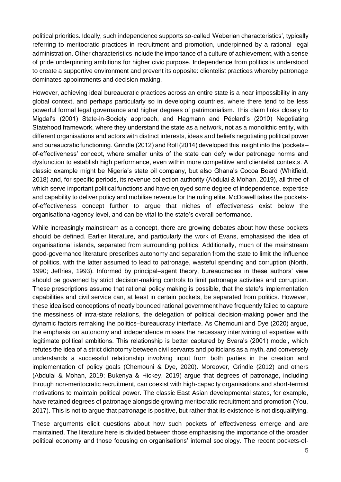political priorities. Ideally, such independence supports so-called 'Weberian characteristics', typically referring to meritocratic practices in recruitment and promotion, underpinned by a rational–legal administration. Other characteristics include the importance of a culture of achievement, with a sense of pride underpinning ambitions for higher civic purpose. Independence from politics is understood to create a supportive environment and prevent its opposite: clientelist practices whereby patronage dominates appointments and decision making.

However, achieving ideal bureaucratic practices across an entire state is a near impossibility in any global context, and perhaps particularly so in developing countries, where there tend to be less powerful formal legal governance and higher degrees of patrimonialism. This claim links closely to Migdal's (2001) State-in-Society approach, and Hagmann and Péclard's (2010) Negotiating Statehood framework, where they understand the state as a network, not as a monolithic entity, with different organisations and actors with distinct interests, ideas and beliefs negotiating political power and bureaucratic functioning. Grindle (2012) and Roll (2014) developed this insight into the 'pockets– of-effectiveness' concept, where smaller units of the state can defy wider patronage norms and dysfunction to establish high performance, even within more competitive and clientelist contexts. A classic example might be Nigeria's state oil company, but also Ghana's Cocoa Board (Whitfield, 2018) and, for specific periods, its revenue collection authority (Abdulai & Mohan, 2019), all three of which serve important political functions and have enjoyed some degree of independence, expertise and capability to deliver policy and mobilise revenue for the ruling elite. McDowell takes the pocketsof-effectiveness concept further to argue that niches of effectiveness exist below the organisational/agency level, and can be vital to the state's overall performance.

While increasingly mainstream as a concept, there are growing debates about how these pockets should be defined. Earlier literature, and particularly the work of Evans, emphasised the idea of organisational islands, separated from surrounding politics. Additionally, much of the mainstream good-governance literature prescribes autonomy and separation from the state to limit the influence of politics, with the latter assumed to lead to patronage, wasteful spending and corruption (North, 1990; Jeffries, 1993). Informed by principal–agent theory, bureaucracies in these authors' view should be governed by strict decision-making controls to limit patronage activities and corruption. These prescriptions assume that rational policy making is possible, that the state's implementation capabilities and civil service can, at least in certain pockets, be separated from politics. However, these idealised conceptions of neatly bounded rational government have frequently failed to capture the messiness of intra-state relations, the delegation of political decision-making power and the dynamic factors remaking the politics–bureaucracy interface. As Chemouni and Dye (2020) argue, the emphasis on autonomy and independence misses the necessary intertwining of expertise with legitimate political ambitions. This relationship is better captured by Svara's (2001) model, which refutes the idea of a strict dichotomy between civil servants and politicians as a myth, and conversely understands a successful relationship involving input from both parties in the creation and implementation of policy goals (Chemouni & Dye, 2020). Moreover, Grindle (2012) and others (Abdulai & Mohan, 2019; Bukenya & Hickey, 2019) argue that degrees of patronage, including through non-meritocratic recruitment, can coexist with high-capacity organisations and short-termist motivations to maintain political power. The classic East Asian developmental states, for example, have retained degrees of patronage alongside growing meritocratic recruitment and promotion (You, 2017). This is not to argue that patronage is positive, but rather that its existence is not disqualifying.

These arguments elicit questions about how such pockets of effectiveness emerge and are maintained. The literature here is divided between those emphasising the importance of the broader political economy and those focusing on organisations' internal sociology. The recent pockets-of-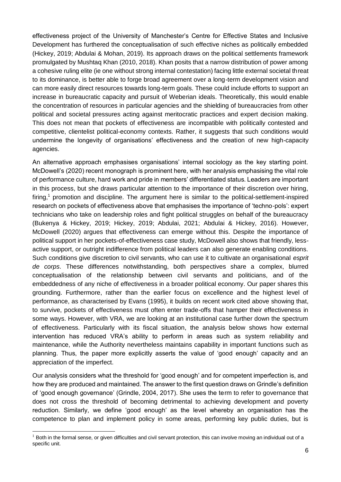effectiveness project of the University of Manchester's Centre for Effective States and Inclusive Development has furthered the conceptualisation of such effective niches as politically embedded (Hickey, 2019; Abdulai & Mohan, 2019). Its approach draws on the political settlements framework promulgated by Mushtaq Khan (2010, 2018). Khan posits that a narrow distribution of power among a cohesive ruling elite (ie one without strong internal contestation) facing little external societal threat to its dominance, is better able to forge broad agreement over a long-term development vision and can more easily direct resources towards long-term goals. These could include efforts to support an increase in bureaucratic capacity and pursuit of Weberian ideals. Theoretically, this would enable the concentration of resources in particular agencies and the shielding of bureaucracies from other political and societal pressures acting against meritocratic practices and expert decision making. This does not mean that pockets of effectiveness are incompatible with politically contested and competitive, clientelist political-economy contexts. Rather, it suggests that such conditions would undermine the longevity of organisations' effectiveness and the creation of new high-capacity agencies.

An alternative approach emphasises organisations' internal sociology as the key starting point. McDowell's (2020) recent monograph is prominent here, with her analysis emphasising the vital role of performance culture, hard work and pride in members' differentiated status. Leaders are important in this process, but she draws particular attention to the importance of their discretion over hiring, firing,<sup>1</sup> promotion and discipline. The argument here is similar to the political-settlement-inspired research on pockets of effectiveness above that emphasises the importance of 'techno-pols': expert technicians who take on leadership roles and fight political struggles on behalf of the bureaucracy (Bukenya & Hickey, 2019; Hickey, 2019; Abdulai, 2021; Abdulai & Hickey, 2016). However, McDowell (2020) argues that effectiveness can emerge without this. Despite the importance of political support in her pockets-of-effectiveness case study, McDowell also shows that friendly, lessactive support, or outright indifference from political leaders can also generate enabling conditions. Such conditions give discretion to civil servants, who can use it to cultivate an organisational *esprit de corps*. These differences notwithstanding, both perspectives share a complex, blurred conceptualisation of the relationship between civil servants and politicians, and of the embeddedness of any niche of effectiveness in a broader political economy. Our paper shares this grounding. Furthermore, rather than the earlier focus on excellence and the highest level of performance, as characterised by Evans (1995), it builds on recent work cited above showing that, to survive, pockets of effectiveness must often enter trade-offs that hamper their effectiveness in some ways. However, with VRA, we are looking at an institutional case further down the spectrum of effectiveness. Particularly with its fiscal situation, the analysis below shows how external intervention has reduced VRA's ability to perform in areas such as system reliability and maintenance, while the Authority nevertheless maintains capability in important functions such as planning. Thus, the paper more explicitly asserts the value of 'good enough' capacity and an appreciation of the imperfect.

Our analysis considers what the threshold for 'good enough' and for competent imperfection is, and how they are produced and maintained. The answer to the first question draws on Grindle's definition of 'good enough governance' (Grindle, 2004, 2017). She uses the term to refer to governance that does not cross the threshold of becoming detrimental to achieving development and poverty reduction. Similarly, we define 'good enough' as the level whereby an organisation has the competence to plan and implement policy in some areas, performing key public duties, but is

 $<sup>1</sup>$  Both in the formal sense, or given difficulties and civil servant protection, this can involve moving an individual out of a</sup> specific unit.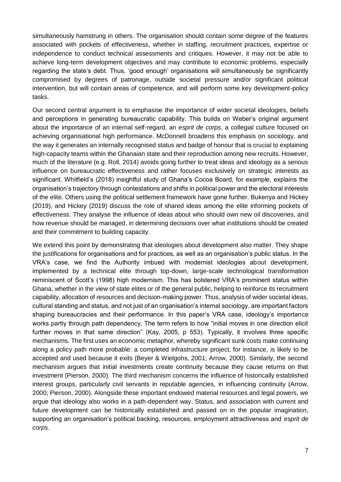simultaneously hamstrung in others. The organisation should contain some degree of the features associated with pockets of effectiveness, whether in staffing, recruitment practices, expertise or independence to conduct technical assessments and critiques. However, it may not be able to achieve long-term development objectives and may contribute to economic problems, especially regarding the state's debt. Thus, 'good enough' organisations will simultaneously be significantly compromised by degrees of patronage, outside societal pressure and/or significant political intervention, but will contain areas of competence, and will perform some key development-policy tasks.

Our second central argument is to emphasise the importance of wider societal ideologies, beliefs and perceptions in generating bureaucratic capability. This builds on Weber's original argument about the importance of an internal self-regard, an *esprit de corps*, a collegial culture focused on achieving organisational high performance. McDonnell broadens this emphasis on sociology, and the way it generates an internally recognised status and badge of honour that is crucial to explaining high-capacity teams within the Ghanaian state and their reproduction among new recruits. However, much of the literature (e.g. Roll, 2014) avoids going further to treat ideas and ideology as a serious influence on bureaucratic effectiveness and rather focuses exclusively on strategic interests as significant. Whitfield's (2018) insightful study of Ghana's Cocoa Board, for example, explains the organisation's trajectory through contestations and shifts in political power and the electoral interests of the elite. Others using the political settlement framework have gone further. Bukenya and Hickey (2019), and Hickey (2019) discuss the role of shared ideas among the elite informing pockets of effectiveness. They analyse the influence of ideas about who should own new oil discoveries, and how revenue should be managed, in determining decisions over what institutions should be created and their commitment to building capacity.

We extend this point by demonstrating that ideologies about development also matter. They shape the justifications for organisations and for practices, as well as an organisation's public status. In the VRA's case, we find the Authority imbued with modernist ideologies about development, implemented by a technical elite through top-down, large-scale technological transformation reminiscent of Scott's (1998) high modernism. This has bolstered VRA's prominent status within Ghana, whether in the view of state elites or of the general public, helping to reinforce its recruitment capability, allocation of resources and decision-making power. Thus, analysis of wider societal ideas, cultural standing and status, and not just of an organisation's internal sociology, are important factors shaping bureaucracies and their performance. In this paper's VRA case, ideology's importance works partly through path dependency. The term refers to how "initial moves in one direction elicit further moves in that same direction" (Kay, 2005, p 553). Typically, it involves three specific mechanisms. The first uses an economic metaphor, whereby significant sunk costs make continuing along a policy path more probable: a completed infrastructure project, for instance, is likely to be accepted and used because it exits (Beyer & Wielgohs, 2001; Arrow, 2000). Similarly, the second mechanism argues that initial investments create continuity because they cause returns on that investment (Pierson, 2000). The third mechanism concerns the influence of historically established interest groups, particularly civil servants in reputable agencies, in influencing continuity (Arrow, 2000; Pierson, 2000). Alongside these important endowed material resources and legal powers, we argue that ideology also works in a path-dependent way. Status, and association with current and future development can be historically established and passed on in the popular imagination, supporting an organisation's political backing, resources, employment attractiveness and *esprit de corps*.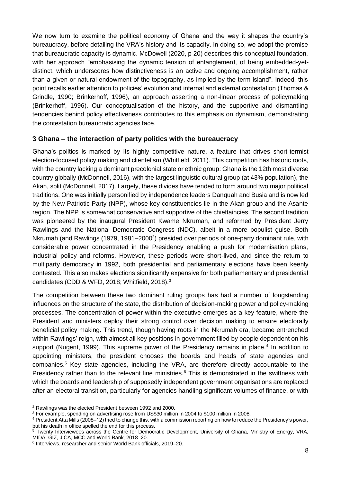We now turn to examine the political economy of Ghana and the way it shapes the country's bureaucracy, before detailing the VRA's history and its capacity. In doing so, we adopt the premise that bureaucratic capacity is dynamic. McDowell (2020, p 20) describes this conceptual foundation, with her approach "emphasising the dynamic tension of entanglement, of being embedded-yetdistinct, which underscores how distinctiveness is an active and ongoing accomplishment, rather than a given or natural endowment of the topography, as implied by the term island". Indeed, this point recalls earlier attention to policies' evolution and internal and external contestation (Thomas & Grindle, 1990; Brinkerhoff, 1996), an approach asserting a non-linear process of policymaking (Brinkerhoff, 1996). Our conceptualisation of the history, and the supportive and dismantling tendencies behind policy effectiveness contributes to this emphasis on dynamism, demonstrating the contestation bureaucratic agencies face.

#### **3 Ghana – the interaction of party politics with the bureaucracy**

Ghana's politics is marked by its highly competitive nature, a feature that drives short-termist election-focused policy making and clientelism (Whitfield, 2011). This competition has historic roots, with the country lacking a dominant precolonial state or ethnic group: Ghana is the 12th most diverse country globally (McDonnell, 2016), with the largest linguistic cultural group (at 43% population), the Akan, split (McDonnell, 2017). Largely, these divides have tended to form around two major political traditions. One was initially personified by independence leaders Danquah and Busia and is now led by the New Patriotic Party (NPP), whose key constituencies lie in the Akan group and the Asante region. The NPP is somewhat conservative and supportive of the chieftaincies. The second tradition was pioneered by the inaugural President Kwame Nkrumah, and reformed by President Jerry Rawlings and the National Democratic Congress (NDC), albeit in a more populist guise. Both Nkrumah (and Rawlings (1979, 1981–2000<sup>2</sup>) presided over periods of one-party dominant rule, with considerable power concentrated in the Presidency enabling a push for modernisation plans, industrial policy and reforms. However, these periods were short-lived, and since the return to multiparty democracy in 1992, both presidential and parliamentary elections have been keenly contested. This also makes elections significantly expensive for both parliamentary and presidential candidates (CDD & WFD, 2018; Whitfield, 2018).<sup>3</sup>

The competition between these two dominant ruling groups has had a number of longstanding influences on the structure of the state, the distribution of decision-making power and policy-making processes. The concentration of power within the executive emerges as a key feature, where the President and ministers deploy their strong control over decision making to ensure electorally beneficial policy making. This trend, though having roots in the Nkrumah era, became entrenched within Rawlings' reign, with almost all key positions in government filled by people dependent on his support (Nugent, 1999). This supreme power of the Presidency remains in place.<sup>4</sup> In addition to appointing ministers, the president chooses the boards and heads of state agencies and companies.<sup>5</sup> Key state agencies, including the VRA, are therefore directly accountable to the Presidency rather than to the relevant line ministries.<sup>6</sup> This is demonstrated in the swiftness with which the boards and leadership of supposedly independent government organisations are replaced after an electoral transition, particularly for agencies handling significant volumes of finance, or with

<sup>2</sup> Rawlings was the elected President between 1992 and 2000.

<sup>3</sup> For example, spending on advertising rose from US\$30 million in 2004 to \$100 million in 2008.

<sup>4</sup> President Atta Mills (2008–12) tried to change this, with a commission reporting on how to reduce the Presidency's power, but his death in office spelled the end for this process.

<sup>5</sup> Twenty Interviewees across the Centre for Democratic Development, University of Ghana, Ministry of Energy, VRA, MIDA, GIZ, JICA, MCC and World Bank, 2018–20.

<sup>6</sup> Interviews, researcher and senior World Bank officials, 2019–20.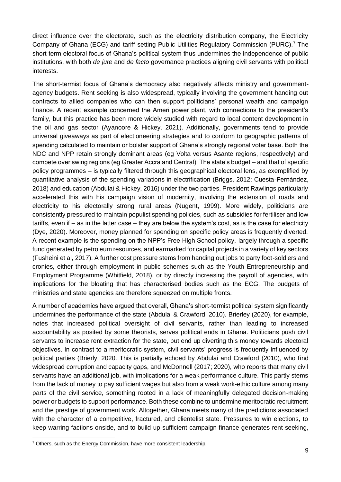direct influence over the electorate, such as the electricity distribution company, the Electricity Company of Ghana (ECG) and tariff-setting Public Utilities Regulatory Commission (PURC).<sup>7</sup> The short-term electoral focus of Ghana's political system thus undermines the independence of public institutions, with both *de jure* and *de facto* governance practices aligning civil servants with political interests.

The short-termist focus of Ghana's democracy also negatively affects ministry and governmentagency budgets. Rent seeking is also widespread, typically involving the government handing out contracts to allied companies who can then support politicians' personal wealth and campaign finance. A recent example concerned the Ameri power plant, with connections to the president's family, but this practice has been more widely studied with regard to local content development in the oil and gas sector (Ayanoore & Hickey, 2021). Additionally, governments tend to provide universal giveaways as part of electioneering strategies and to conform to geographic patterns of spending calculated to maintain or bolster support of Ghana's strongly regional voter base. Both the NDC and NPP retain strongly dominant areas (eg Volta versus Asante regions, respectively) and compete over swing regions (eg Greater Accra and Central). The state's budget – and that of specific policy programmes – is typically filtered through this geographical electoral lens, as exemplified by quantitative analysis of the spending variations in electrification (Briggs, 2012; Cuesta-Fernández, 2018) and education (Abdulai & Hickey, 2016) under the two parties. President Rawlings particularly accelerated this with his campaign vision of modernity, involving the extension of roads and electricity to his electorally strong rural areas (Nugent, 1999). More widely, politicians are consistently pressured to maintain populist spending policies, such as subsidies for fertiliser and low tariffs, even if – as in the latter case – they are below the system's cost, as is the case for electricity (Dye, 2020). Moreover, money planned for spending on specific policy areas is frequently diverted. A recent example is the spending on the NPP's Free High School policy, largely through a specific fund generated by petroleum resources, and earmarked for capital projects in a variety of key sectors (Fusheini et al, 2017). A further cost pressure stems from handing out jobs to party foot-soldiers and cronies, either through employment in public schemes such as the Youth Entrepreneurship and Employment Programme (Whitfield, 2018), or by directly increasing the payroll of agencies, with implications for the bloating that has characterised bodies such as the ECG. The budgets of ministries and state agencies are therefore squeezed on multiple fronts.

A number of academics have argued that overall, Ghana's short-termist political system significantly undermines the performance of the state (Abdulai & Crawford, 2010). Brierley (2020), for example, notes that increased political oversight of civil servants, rather than leading to increased accountability as posited by some theorists, serves political ends in Ghana. Politicians push civil servants to increase rent extraction for the state, but end up diverting this money towards electoral objectives. In contrast to a meritocratic system, civil servants' progress is frequently influenced by political parties (Brierly, 2020. This is partially echoed by Abdulai and Crawford (2010), who find widespread corruption and capacity gaps, and McDonnell (2017; 2020), who reports that many civil servants have an additional job, with implications for a weak performance culture. This partly stems from the lack of money to pay sufficient wages but also from a weak work-ethic culture among many parts of the civil service, something rooted in a lack of meaningfully delegated decision-making power or budgets to support performance. Both these combine to undermine meritocratic recruitment and the prestige of government work. Altogether, Ghana meets many of the predictions associated with the character of a competitive, fractured, and clientelist state. Pressures to win elections, to keep warring factions onside, and to build up sufficient campaign finance generates rent seeking,

 $7$  Others, such as the Energy Commission, have more consistent leadership.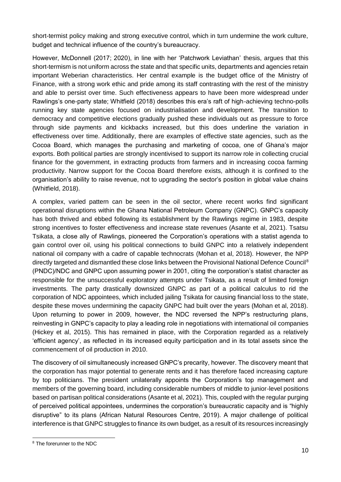short-termist policy making and strong executive control, which in turn undermine the work culture, budget and technical influence of the country's bureaucracy.

However, McDonnell (2017; 2020), in line with her 'Patchwork Leviathan' thesis, argues that this short-termism is not uniform across the state and that specific units, departments and agencies retain important Weberian characteristics. Her central example is the budget office of the Ministry of Finance, with a strong work ethic and pride among its staff contrasting with the rest of the ministry and able to persist over time. Such effectiveness appears to have been more widespread under Rawlings's one-party state; Whitfield (2018) describes this era's raft of high-achieving techno-polls running key state agencies focused on industrialisation and development. The transition to democracy and competitive elections gradually pushed these individuals out as pressure to force through side payments and kickbacks increased, but this does underline the variation in effectiveness over time. Additionally, there are examples of effective state agencies, such as the Cocoa Board, which manages the purchasing and marketing of cocoa, one of Ghana's major exports. Both political parties are strongly incentivised to support its narrow role in collecting crucial finance for the government, in extracting products from farmers and in increasing cocoa farming productivity. Narrow support for the Cocoa Board therefore exists, although it is confined to the organisation's ability to raise revenue, not to upgrading the sector's position in global value chains (Whitfield, 2018).

A complex, varied pattern can be seen in the oil sector, where recent works find significant operational disruptions within the Ghana National Petroleum Company (GNPC). GNPC's capacity has both thrived and ebbed following its establishment by the Rawlings regime in 1983, despite strong incentives to foster effectiveness and increase state revenues (Asante et al, 2021). Tsatsu Tsikata, a close ally of Rawlings, pioneered the Corporation's operations with a statist agenda to gain control over oil, using his political connections to build GNPC into a relatively independent national oil company with a cadre of capable technocrats (Mohan et al, 2018). However, the NPP directly targeted and dismantled these close links between the Provisional National Defence Council<sup>8</sup> (PNDC)/NDC and GNPC upon assuming power in 2001, citing the corporation's statist character as responsible for the unsuccessful exploratory attempts under Tsikata, as a result of limited foreign investments. The party drastically downsized GNPC as part of a political calculus to rid the corporation of NDC appointees, which included jailing Tsikata for causing financial loss to the state, despite these moves undermining the capacity GNPC had built over the years (Mohan et al, 2018). Upon returning to power in 2009, however, the NDC reversed the NPP's restructuring plans, reinvesting in GNPC's capacity to play a leading role in negotiations with international oil companies (Hickey et al, 2015). This has remained in place, with the Corporation regarded as a relatively 'efficient agency', as reflected in its increased equity participation and in its total assets since the commencement of oil production in 2010.

The discovery of oil simultaneously increased GNPC's precarity, however. The discovery meant that the corporation has major potential to generate rents and it has therefore faced increasing capture by top politicians. The president unilaterally appoints the Corporation's top management and members of the governing board, including considerable numbers of middle to junior-level positions based on partisan political considerations (Asante et al, 2021). This, coupled with the regular purging of perceived political appointees, undermines the corporation's bureaucratic capacity and is "highly disruptive" to its plans (African Natural Resources Centre, 2019). A major challenge of political interference is that GNPC struggles to finance its own budget, as a result of its resources increasingly

<sup>8</sup> The forerunner to the NDC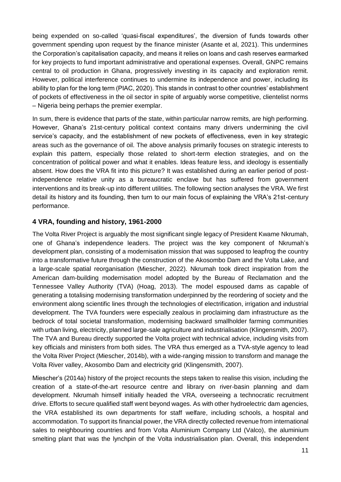being expended on so-called 'quasi-fiscal expenditures', the diversion of funds towards other government spending upon request by the finance minister (Asante et al, 2021). This undermines the Corporation's capitalisation capacity, and means it relies on loans and cash reserves earmarked for key projects to fund important administrative and operational expenses. Overall, GNPC remains central to oil production in Ghana, progressively investing in its capacity and exploration remit. However, political interference continues to undermine its independence and power, including its ability to plan for the long term (PIAC, 2020). This stands in contrast to other countries' establishment of pockets of effectiveness in the oil sector in spite of arguably worse competitive, clientelist norms – Nigeria being perhaps the premier exemplar.

In sum, there is evidence that parts of the state, within particular narrow remits, are high performing. However, Ghana's 21st-century political context contains many drivers undermining the civil service's capacity, and the establishment of new pockets of effectiveness, even in key strategic areas such as the governance of oil. The above analysis primarily focuses on strategic interests to explain this pattern, especially those related to short-term election strategies, and on the concentration of political power and what it enables. Ideas feature less, and ideology is essentially absent. How does the VRA fit into this picture? It was established during an earlier period of postindependence relative unity as a bureaucratic enclave but has suffered from government interventions and its break-up into different utilities. The following section analyses the VRA. We first detail its history and its founding, then turn to our main focus of explaining the VRA's 21st-century performance.

#### **4 VRA, founding and history, 1961-2000**

The Volta River Project is arguably the most significant single legacy of President Kwame Nkrumah, one of Ghana's independence leaders. The project was the key component of Nkrumah's development plan, consisting of a modernisation mission that was supposed to leapfrog the country into a transformative future through the construction of the Akosombo Dam and the Volta Lake, and a large-scale spatial reorganisation (Miescher, 2022). Nkrumah took direct inspiration from the American dam-building modernisation model adopted by the Bureau of Reclamation and the Tennessee Valley Authority (TVA) (Hoag, 2013). The model espoused dams as capable of generating a totalising modernising transformation underpinned by the reordering of society and the environment along scientific lines through the technologies of electrification, irrigation and industrial development. The TVA founders were especially zealous in proclaiming dam infrastructure as the bedrock of total societal transformation, modernising backward smallholder farming communities with urban living, electricity, planned large-sale agriculture and industrialisation (Klingensmith, 2007). The TVA and Bureau directly supported the Volta project with technical advice, including visits from key officials and ministers from both sides. The VRA thus emerged as a TVA-style agency to lead the Volta River Project (Miescher, 2014b), with a wide-ranging mission to transform and manage the Volta River valley, Akosombo Dam and electricity grid (Klingensmith, 2007).

Miescher's (2014a) history of the project recounts the steps taken to realise this vision, including the creation of a state-of-the-art resource centre and library on river-basin planning and dam development. Nkrumah himself initially headed the VRA, overseeing a technocratic recruitment drive. Efforts to secure qualified staff went beyond wages. As with other hydroelectric dam agencies, the VRA established its own departments for staff welfare, including schools, a hospital and accommodation. To support its financial power, the VRA directly collected revenue from international sales to neighbouring countries and from Volta Aluminium Company Ltd (Valco), the aluminium smelting plant that was the lynchpin of the Volta industrialisation plan. Overall, this independent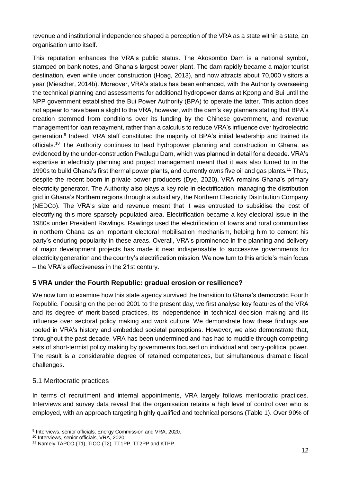revenue and institutional independence shaped a perception of the VRA as a state within a state, an organisation unto itself.

This reputation enhances the VRA's public status. The Akosombo Dam is a national symbol, stamped on bank notes, and Ghana's largest power plant. The dam rapidly became a major tourist destination, even while under construction (Hoag, 2013), and now attracts about 70,000 visitors a year (Miescher, 2014b). Moreover, VRA's status has been enhanced, with the Authority overseeing the technical planning and assessments for additional hydropower dams at Kpong and Bui until the NPP government established the Bui Power Authority (BPA) to operate the latter. This action does not appear to have been a slight to the VRA, however, with the dam's key planners stating that BPA's creation stemmed from conditions over its funding by the Chinese government, and revenue management for loan repayment, rather than a calculus to reduce VRA's influence over hydroelectric generation.<sup>9</sup> Indeed, VRA staff constituted the majority of BPA's initial leadership and trained its officials.<sup>10</sup> The Authority continues to lead hydropower planning and construction in Ghana, as evidenced by the under-construction Pwalugu Dam, which was planned in detail for a decade. VRA's expertise in electricity planning and project management meant that it was also turned to in the 1990s to build Ghana's first thermal power plants, and currently owns five oil and gas plants.<sup>11</sup> Thus, despite the recent boom in private power producers (Dye, 2020), VRA remains Ghana's primary electricity generator. The Authority also plays a key role in electrification, managing the distribution grid in Ghana's Northern regions through a subsidiary, the Northern Electricity Distribution Company (NEDCo). The VRA's size and revenue meant that it was entrusted to subsidise the cost of electrifying this more sparsely populated area. Electrification became a key electoral issue in the 1980s under President Rawlings. Rawlings used the electrification of towns and rural communities in northern Ghana as an important electoral mobilisation mechanism, helping him to cement his party's enduring popularity in these areas. Overall, VRA's prominence in the planning and delivery of major development projects has made it near indispensable to successive governments for electricity generation and the country's electrification mission. We now turn to this article's main focus – the VRA's effectiveness in the 21st century.

#### **5 VRA under the Fourth Republic: gradual erosion or resilience?**

We now turn to examine how this state agency survived the transition to Ghana's democratic Fourth Republic. Focusing on the period 2001 to the present day, we first analyse key features of the VRA and its degree of merit-based practices, its independence in technical decision making and its influence over sectoral policy making and work culture. We demonstrate how these findings are rooted in VRA's history and embedded societal perceptions. However, we also demonstrate that, throughout the past decade, VRA has been undermined and has had to muddle through competing sets of short-termist policy making by governments focused on individual and party-political power. The result is a considerable degree of retained competences, but simultaneous dramatic fiscal challenges.

#### 5.1 Meritocratic practices

In terms of recruitment and internal appointments, VRA largely follows meritocratic practices. Interviews and survey data reveal that the organisation retains a high level of control over who is employed, with an approach targeting highly qualified and technical persons (Table 1). Over 90% of

 9 Interviews, senior officials, Energy Commission and VRA, 2020.

<sup>10</sup> Interviews, senior officials, VRA, 2020.

<sup>11</sup> Namely TAPCO (T1), TICO (T2), TT1PP, TT2PP and KTPP.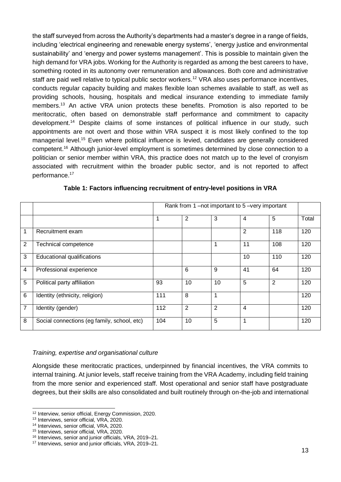the staff surveyed from across the Authority's departments had a master's degree in a range of fields, including 'electrical engineering and renewable energy systems', 'energy justice and environmental sustainability' and 'energy and power systems management'. This is possible to maintain given the high demand for VRA jobs. Working for the Authority is regarded as among the best careers to have, something rooted in its autonomy over remuneration and allowances. Both core and administrative staff are paid well relative to typical public sector workers.<sup>12</sup> VRA also uses performance incentives, conducts regular capacity building and makes flexible loan schemes available to staff, as well as providing schools, housing, hospitals and medical insurance extending to immediate family members.<sup>13</sup> An active VRA union protects these benefits. Promotion is also reported to be meritocratic, often based on demonstrable staff performance and commitment to capacity development.<sup>14</sup> Despite claims of some instances of political influence in our study, such appointments are not overt and those within VRA suspect it is most likely confined to the top managerial level.<sup>15</sup> Even where political influence is levied, candidates are generally considered competent.<sup>16</sup> Although junior-level employment is sometimes determined by close connection to a politician or senior member within VRA, this practice does not match up to the level of cronyism associated with recruitment within the broader public sector, and is not reported to affect performance.<sup>17</sup>

|                |                                             | Rank from 1-not important to 5-very important |                 |                |                |                |       |
|----------------|---------------------------------------------|-----------------------------------------------|-----------------|----------------|----------------|----------------|-------|
|                |                                             |                                               | 2               | 3              | 4              | 5              | Total |
| $\mathbf 1$    | Recruitment exam                            |                                               |                 |                | $\overline{2}$ | 118            | 120   |
| 2              | Technical competence                        |                                               |                 | 1              | 11             | 108            | 120   |
| 3              | Educational qualifications                  |                                               |                 |                | 10             | 110            | 120   |
| $\overline{4}$ | Professional experience                     |                                               | $6\phantom{1}6$ | 9              | 41             | 64             | 120   |
| 5              | Political party affiliation                 | 93                                            | 10              | 10             | 5              | $\overline{2}$ | 120   |
| 6              | Identity (ethnicity, religion)              | 111                                           | 8               | 1              |                |                | 120   |
| $\overline{7}$ | Identity (gender)                           | 112                                           | $\overline{2}$  | $\overline{2}$ | $\overline{4}$ |                | 120   |
| 8              | Social connections (eg family, school, etc) | 104                                           | 10              | 5              | 1              |                | 120   |

#### **Table 1: Factors influencing recruitment of entry-level positions in VRA**

#### *Training, expertise and organisational culture*

Alongside these meritocratic practices, underpinned by financial incentives, the VRA commits to internal training. At junior levels, staff receive training from the VRA Academy, including field training from the more senior and experienced staff. Most operational and senior staff have postgraduate degrees, but their skills are also consolidated and built routinely through on-the-job and international

<sup>12</sup> Interview, senior official, Energy Commission, 2020.

<sup>13</sup> Interviews, senior official, VRA, 2020.

<sup>14</sup> Interviews, senior official, VRA, 2020.

<sup>15</sup> Interviews, senior official, VRA, 2020.

<sup>16</sup> Interviews, senior and junior officials, VRA, 2019–21.

<sup>17</sup> Interviews, senior and junior officials, VRA, 2019–21.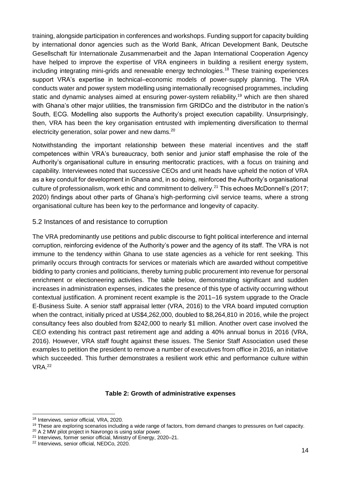training, alongside participation in conferences and workshops. Funding support for capacity building by international donor agencies such as the World Bank, African Development Bank, Deutsche Gesellschaft für Internationale Zusammenarbeit and the Japan International Cooperation Agency have helped to improve the expertise of VRA engineers in building a resilient energy system, including integrating mini-grids and renewable energy technologies.<sup>18</sup> These training experiences support VRA's expertise in technical–economic models of power-supply planning. The VRA conducts water and power system modelling using internationally recognised programmes, including static and dynamic analyses aimed at ensuring power-system reliability,<sup>19</sup> which are then shared with Ghana's other major utilities, the transmission firm GRIDCo and the distributor in the nation's South, ECG. Modelling also supports the Authority's project execution capability. Unsurprisingly, then, VRA has been the key organisation entrusted with implementing diversification to thermal electricity generation, solar power and new dams.<sup>20</sup>

Notwithstanding the important relationship between these material incentives and the staff competences within VRA's bureaucracy, both senior and junior staff emphasise the role of the Authority's organisational culture in ensuring meritocratic practices, with a focus on training and capability. Interviewees noted that successive CEOs and unit heads have upheld the notion of VRA as a key conduit for development in Ghana and, in so doing, reinforced the Authority's organisational culture of professionalism, work ethic and commitment to delivery.<sup>21</sup> This echoes McDonnell's (2017; 2020) findings about other parts of Ghana's high-performing civil service teams, where a strong organisational culture has been key to the performance and longevity of capacity.

#### 5.2 Instances of and resistance to corruption

The VRA predominantly use petitions and public discourse to fight political interference and internal corruption, reinforcing evidence of the Authority's power and the agency of its staff. The VRA is not immune to the tendency within Ghana to use state agencies as a vehicle for rent seeking. This primarily occurs through contracts for services or materials which are awarded without competitive bidding to party cronies and politicians, thereby turning public procurement into revenue for personal enrichment or electioneering activities. The table below, demonstrating significant and sudden increases in administration expenses, indicates the presence of this type of activity occurring without contextual justification. A prominent recent example is the 2011–16 system upgrade to the Oracle E-Business Suite. A senior staff appraisal letter (VRA, 2016) to the VRA board imputed corruption when the contract, initially priced at US\$4,262,000, doubled to \$8,264,810 in 2016, while the project consultancy fees also doubled from \$242,000 to nearly \$1 million. Another overt case involved the CEO extending his contract past retirement age and adding a 40% annual bonus in 2016 (VRA, 2016). However, VRA staff fought against these issues. The Senior Staff Association used these examples to petition the president to remove a number of executives from office in 2016, an initiative which succeeded. This further demonstrates a resilient work ethic and performance culture within VRA.<sup>22</sup>

#### **Table 2: Growth of administrative expenses**

<sup>-</sup><sup>18</sup> Interviews, senior official, VRA, 2020.

<sup>&</sup>lt;sup>19</sup> These are exploring scenarios including a wide range of factors, from demand changes to pressures on fuel capacity.

<sup>&</sup>lt;sup>20</sup> A 2 MW pilot project in Navrongo is using solar power.

<sup>&</sup>lt;sup>21</sup> Interviews, former senior official, Ministry of Energy, 2020–21.

<sup>22</sup> Interviews, senior official, NEDCo, 2020.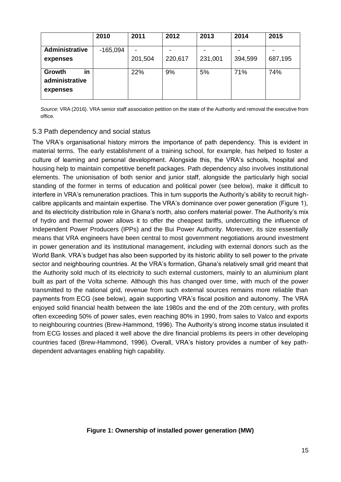|                                            | 2010       | 2011    | 2012    | 2013    | 2014    | 2015    |
|--------------------------------------------|------------|---------|---------|---------|---------|---------|
| Administrative                             | $-165,094$ |         |         |         |         |         |
| expenses                                   |            | 201,504 | 220,617 | 231,001 | 394,599 | 687,195 |
| in<br>Growth<br>administrative<br>expenses |            | 22%     | 9%      | 5%      | 71%     | 74%     |

*Source*: VRA (2016). VRA senior staff association petition on the state of the Authority and removal the executive from office.

#### 5.3 Path dependency and social status

The VRA's organisational history mirrors the importance of path dependency. This is evident in material terms. The early establishment of a training school, for example, has helped to foster a culture of learning and personal development. Alongside this, the VRA's schools, hospital and housing help to maintain competitive benefit packages. Path dependency also involves institutional elements. The unionisation of both senior and junior staff, alongside the particularly high social standing of the former in terms of education and political power (see below), make it difficult to interfere in VRA's remuneration practices. This in turn supports the Authority's ability to recruit highcalibre applicants and maintain expertise. The VRA's dominance over power generation (Figure 1), and its electricity distribution role in Ghana's north, also confers material power. The Authority's mix of hydro and thermal power allows it to offer the cheapest tariffs, undercutting the influence of Independent Power Producers (IPPs) and the Bui Power Authority. Moreover, its size essentially means that VRA engineers have been central to most government negotiations around investment in power generation and its institutional management, including with external donors such as the World Bank. VRA's budget has also been supported by its historic ability to sell power to the private sector and neighbouring countries. At the VRA's formation, Ghana's relatively small grid meant that the Authority sold much of its electricity to such external customers, mainly to an aluminium plant built as part of the Volta scheme. Although this has changed over time, with much of the power transmitted to the national grid, revenue from such external sources remains more reliable than payments from ECG (see below), again supporting VRA's fiscal position and autonomy. The VRA enjoyed solid financial health between the late 1980s and the end of the 20th century, with profits often exceeding 50% of power sales, even reaching 80% in 1990, from sales to Valco and exports to neighbouring countries (Brew-Hammond, 1996). The Authority's strong income status insulated it from ECG losses and placed it well above the dire financial problems its peers in other developing countries faced (Brew-Hammond, 1996). Overall, VRA's history provides a number of key pathdependent advantages enabling high capability.

#### **Figure 1: Ownership of installed power generation (MW)**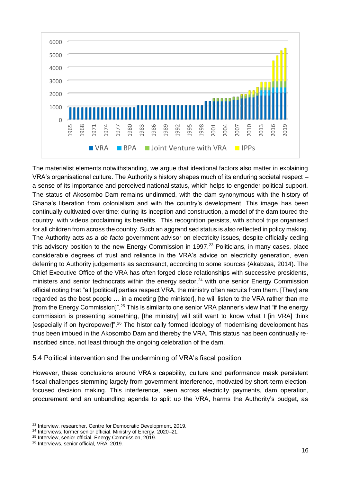

The materialist elements notwithstanding, we argue that ideational factors also matter in explaining VRA's organisational culture. The Authority's history shapes much of its enduring societal respect – a sense of its importance and perceived national status, which helps to engender political support. The status of Akosombo Dam remains undimmed, with the dam synonymous with the history of Ghana's liberation from colonialism and with the country's development. This image has been continually cultivated over time: during its inception and construction, a model of the dam toured the country, with videos proclaiming its benefits. This recognition persists, with school trips organised for all children from across the country. Such an aggrandised status is also reflected in policy making. The Authority acts as a *de facto* government advisor on electricity issues, despite officially ceding this advisory position to the new Energy Commission in 1997.<sup>23</sup> Politicians, in many cases, place considerable degrees of trust and reliance in the VRA's advice on electricity generation, even deferring to Authority judgements as sacrosanct, according to some sources (Akabzaa, 2014). The Chief Executive Office of the VRA has often forged close relationships with successive presidents, ministers and senior technocrats within the energy sector,  $24$  with one senior Energy Commission official noting that "all [political] parties respect VRA, the ministry often recruits from them. [They] are regarded as the best people ... in a meeting [the minister], he will listen to the VRA rather than me [from the Energy Commission]".<sup>25</sup> This is similar to one senior VRA planner's view that "if the energy commission is presenting something, [the ministry] will still want to know what I [in VRA] think [especially if on hydropower]".<sup>26</sup> The historically formed ideology of modernising development has thus been imbued in the Akosombo Dam and thereby the VRA. This status has been continually reinscribed since, not least through the ongoing celebration of the dam.

#### 5.4 Political intervention and the undermining of VRA's fiscal position

However, these conclusions around VRA's capability, culture and performance mask persistent fiscal challenges stemming largely from government interference, motivated by short-term electionfocused decision making. This interference, seen across electricity payments, dam operation, procurement and an unbundling agenda to split up the VRA, harms the Authority's budget, as

<sup>23</sup> Interview, researcher, Centre for Democratic Development, 2019.

<sup>24</sup> Interviews, former senior official, Ministry of Energy, 2020–21.

<sup>25</sup> Interview, senior official, Energy Commission, 2019.

<sup>26</sup> Interviews, senior official, VRA, 2019.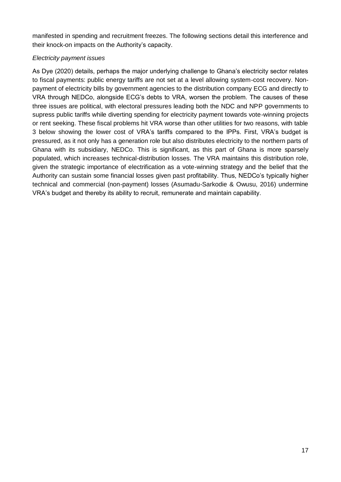manifested in spending and recruitment freezes. The following sections detail this interference and their knock-on impacts on the Authority's capacity.

#### *Electricity payment issues*

As Dye (2020) details, perhaps the major underlying challenge to Ghana's electricity sector relates to fiscal payments: public energy tariffs are not set at a level allowing system-cost recovery. Nonpayment of electricity bills by government agencies to the distribution company ECG and directly to VRA through NEDCo, alongside ECG's debts to VRA, worsen the problem. The causes of these three issues are political, with electoral pressures leading both the NDC and NPP governments to supress public tariffs while diverting spending for electricity payment towards vote-winning projects or rent seeking. These fiscal problems hit VRA worse than other utilities for two reasons, with table 3 below showing the lower cost of VRA's tariffs compared to the IPPs. First, VRA's budget is pressured, as it not only has a generation role but also distributes electricity to the northern parts of Ghana with its subsidiary, NEDCo. This is significant, as this part of Ghana is more sparsely populated, which increases technical-distribution losses. The VRA maintains this distribution role, given the strategic importance of electrification as a vote-winning strategy and the belief that the Authority can sustain some financial losses given past profitability. Thus, NEDCo's typically higher technical and commercial (non-payment) losses (Asumadu-Sarkodie & Owusu, 2016) undermine VRA's budget and thereby its ability to recruit, remunerate and maintain capability.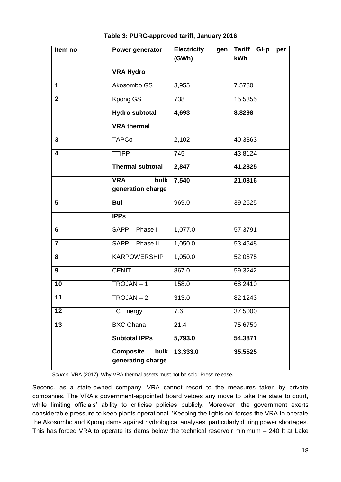| Item no                    | Power generator                               | <b>Electricity</b><br>gen<br>(GWh) | <b>Tariff</b><br>GHp<br>per<br>kWh |  |
|----------------------------|-----------------------------------------------|------------------------------------|------------------------------------|--|
|                            |                                               |                                    |                                    |  |
|                            | <b>VRA Hydro</b>                              |                                    |                                    |  |
| 1                          | Akosombo GS                                   | 3,955                              | 7.5780                             |  |
| $\overline{2}$<br>Kpong GS |                                               | 738                                | 15.5355                            |  |
|                            | <b>Hydro subtotal</b>                         | 4,693                              | 8.8298                             |  |
|                            | <b>VRA</b> thermal                            |                                    |                                    |  |
| 3                          | <b>TAPCo</b>                                  | 2,102                              | 40.3863                            |  |
| 4                          | <b>TTIPP</b>                                  | 745                                | 43.8124                            |  |
|                            | <b>Thermal subtotal</b>                       | 2,847                              | 41.2825                            |  |
|                            | <b>VRA</b><br>bulk                            | 7,540                              | 21.0816                            |  |
|                            | generation charge                             |                                    |                                    |  |
| 5                          | <b>Bui</b>                                    | 969.0                              | 39.2625                            |  |
|                            | <b>IPPs</b>                                   |                                    |                                    |  |
| 6                          | SAPP - Phase I                                | 1,077.0                            | 57.3791                            |  |
| $\overline{7}$             | SAPP - Phase II                               | 1,050.0                            | 53.4548                            |  |
| 8                          | <b>KARPOWERSHIP</b>                           | 1,050.0                            | 52.0875                            |  |
| 9                          | <b>CENIT</b>                                  | 867.0                              | 59.3242                            |  |
| 10                         | $TROJAN - 1$                                  | 158.0                              | 68.2410                            |  |
| 11                         | $TROJAN - 2$                                  | 313.0                              | 82.1243                            |  |
| 12                         | <b>TC Energy</b>                              | 7.6                                | 37.5000                            |  |
| 13                         | <b>BXC Ghana</b>                              | 21.4                               | 75.6750                            |  |
|                            | <b>Subtotal IPPs</b>                          | 5,793.0                            | 54.3871                            |  |
|                            | <b>Composite</b><br>bulk<br>generating charge | 13,333.0                           | 35.5525                            |  |

#### **Table 3: PURC-approved tariff, January 2016**

*Source*: VRA (2017). Why VRA thermal assets must not be sold: Press release.

Second, as a state-owned company, VRA cannot resort to the measures taken by private companies. The VRA's government-appointed board vetoes any move to take the state to court, while limiting officials' ability to criticise policies publicly. Moreover, the government exerts considerable pressure to keep plants operational. 'Keeping the lights on' forces the VRA to operate the Akosombo and Kpong dams against hydrological analyses, particularly during power shortages. This has forced VRA to operate its dams below the technical reservoir minimum – 240 ft at Lake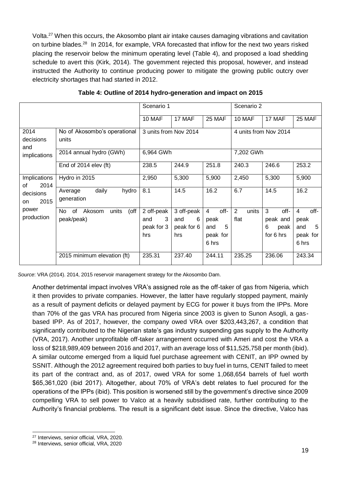Volta.<sup>27</sup> When this occurs, the Akosombo plant air intake causes damaging vibrations and cavitation on turbine blades.<sup>28</sup> In 2014, for example, VRA forecasted that inflow for the next two years risked placing the reservoir below the minimum operating level (Table 4), and proposed a load shedding schedule to avert this (Kirk, 2014). The government rejected this proposal, however, and instead instructed the Authority to continue producing power to mitigate the growing public outcry over electricity shortages that had started in 2012.

|                                |                                                    | Scenario 1                                     | Scenario 2                                  |                                                                 |                    |                                                 |                                                    |
|--------------------------------|----------------------------------------------------|------------------------------------------------|---------------------------------------------|-----------------------------------------------------------------|--------------------|-------------------------------------------------|----------------------------------------------------|
|                                |                                                    | 10 MAF                                         | 17 MAF                                      | 25 MAF                                                          | 10 MAF             | 17 MAF                                          | <b>25 MAF</b>                                      |
| 2014<br>decisions<br>and       | No of Akosombo's operational<br>units              | 3 units from Nov 2014<br>4 units from Nov 2014 |                                             |                                                                 |                    |                                                 |                                                    |
| implications                   | 2014 annual hydro (GWh)                            | 6,964 GWh                                      |                                             |                                                                 | 7,202 GWh          |                                                 |                                                    |
|                                | End of 2014 elev (ft)                              | 238.5                                          | 244.9                                       | 251.8                                                           | 240.3              | 246.6                                           | 253.2                                              |
| Implications<br>2014<br>of     | Hydro in 2015                                      | 2,950                                          | 5,300                                       | 5,900                                                           | 2,450              | 5,300                                           | 5,900                                              |
| decisions<br>2015<br><b>on</b> | daily<br>hydro<br>Average<br>generation            | 8.1                                            | 14.5                                        | 16.2                                                            | 6.7                | 14.5                                            | 16.2                                               |
| power<br>production            | units<br>(off<br>No.<br>0f<br>Akosom<br>peak/peak) | 2 off-peak<br>3<br>and<br>peak for 3<br>hrs    | 3 off-peak<br>6<br>and<br>peak for 6<br>hrs | off-<br>$\overline{4}$<br>peak<br>5<br>and<br>peak for<br>6 hrs | 2<br>units<br>flat | 3<br>off-<br>peak and<br>6<br>peak<br>for 6 hrs | off-<br>4<br>peak<br>5<br>and<br>peak for<br>6 hrs |
|                                | 2015 minimum elevation (ft)                        | 235.31                                         | 237.40                                      | 244.11                                                          | 235.25             | 236.06                                          | 243.34                                             |

*Source*: VRA (2014). 2014, 2015 reservoir management strategy for the Akosombo Dam.

Another detrimental impact involves VRA's assigned role as the off-taker of gas from Nigeria, which it then provides to private companies. However, the latter have regularly stopped payment, mainly as a result of payment deficits or delayed payment by ECG for power it buys from the IPPs. More than 70% of the gas VRA has procured from Nigeria since 2003 is given to Sunon Asogli, a gasbased IPP. As of 2017, however, the company owed VRA over \$203,443,267, a condition that significantly contributed to the Nigerian state's gas industry suspending gas supply to the Authority (VRA, 2017). Another unprofitable off-taker arrangement occurred with Ameri and cost the VRA a loss of \$218,989,409 between 2016 and 2017, with an average loss of \$11,525,758 per month (ibid). A similar outcome emerged from a liquid fuel purchase agreement with CENIT, an IPP owned by SSNIT. Although the 2012 agreement required both parties to buy fuel in turns, CENIT failed to meet its part of the contract and, as of 2017, owed VRA for some 1,068,654 barrels of fuel worth \$65,361,020 (ibid 2017). Altogether, about 70% of VRA's debt relates to fuel procured for the operations of the IPPs (ibid). This position is worsened still by the government's directive since 2009 compelling VRA to sell power to Valco at a heavily subsidised rate, further contributing to the Authority's financial problems. The result is a significant debt issue. Since the directive, Valco has

<sup>-</sup><sup>27</sup> Interviews, senior official, VRA, 2020.

<sup>28</sup> Interviews, senior official, VRA, 2020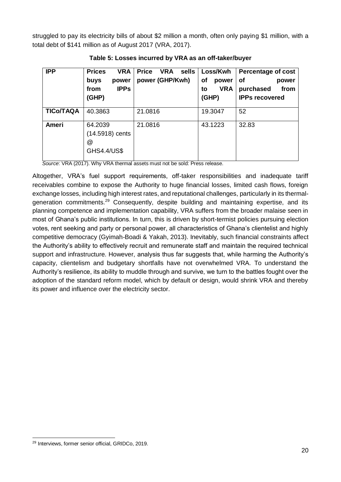struggled to pay its electricity bills of about \$2 million a month, often only paying \$1 million, with a total debt of \$141 million as of August 2017 (VRA, 2017).

| <b>IPP</b>       | <b>Prices</b><br><b>VRA</b><br>buys<br>power<br><b>IPPs</b><br>from<br>(GHP) | <b>Price</b><br><b>VRA</b><br>sells<br>power (GHP/Kwh) | Loss/Kwh<br>of<br>power<br><b>VRA</b><br>to<br>(GHP) | <b>Percentage of cost</b><br><b>of</b><br>power<br>purchased<br>from<br><b>IPPs recovered</b> |
|------------------|------------------------------------------------------------------------------|--------------------------------------------------------|------------------------------------------------------|-----------------------------------------------------------------------------------------------|
| <b>TICo/TAQA</b> | 40.3863                                                                      | 21.0816                                                | 19.3047                                              | 52                                                                                            |
| Ameri            | 64.2039<br>(14.5918) cents<br>@<br><b>GHS4.4/US\$</b>                        | 21.0816                                                | 43.1223                                              | 32.83                                                                                         |

**Table 5: Losses incurred by VRA as an off-taker/buyer**

*Source*: VRA (2017). Why VRA thermal assets must not be sold: Press release.

Altogether, VRA's fuel support requirements, off-taker responsibilities and inadequate tariff receivables combine to expose the Authority to huge financial losses, limited cash flows, foreign exchange losses, including high interest rates, and reputational challenges, particularly in its thermalgeneration commitments.<sup>29</sup> Consequently, despite building and maintaining expertise, and its planning competence and implementation capability, VRA suffers from the broader malaise seen in most of Ghana's public institutions. In turn, this is driven by short-termist policies pursuing election votes, rent seeking and party or personal power, all characteristics of Ghana's clientelist and highly competitive democracy (Gyimah-Boadi & Yakah, 2013). Inevitably, such financial constraints affect the Authority's ability to effectively recruit and remunerate staff and maintain the required technical support and infrastructure. However, analysis thus far suggests that, while harming the Authority's capacity, clientelism and budgetary shortfalls have not overwhelmed VRA. To understand the Authority's resilience, its ability to muddle through and survive, we turn to the battles fought over the adoption of the standard reform model, which by default or design, would shrink VRA and thereby its power and influence over the electricity sector.

<sup>-</sup><sup>29</sup> Interviews, former senior official, GRIDCo, 2019.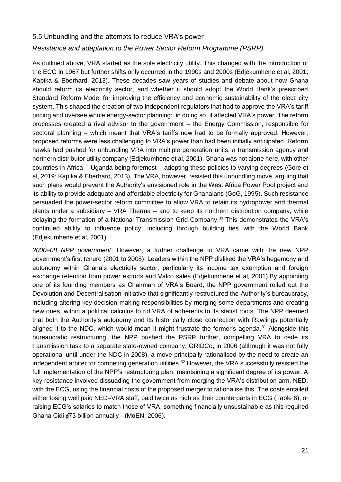#### 5.5 Unbundling and the attempts to reduce VRA's power

#### *Resistance and adaptation to the Power Sector Reform Programme (PSRP).*

As outlined above, VRA started as the sole electricity utility. This changed with the introduction of the ECG in 1967 but further shifts only occurred in the 1990s and 2000s (Edjekumhene et al, 2001; Kapika & Eberhard, 2013). These decades saw years of studies and debate about how Ghana should reform its electricity sector, and whether it should adopt the World Bank's prescribed Standard Reform Model for improving the efficiency and economic sustainability of the electricity system. This shaped the creation of two independent regulators that had to approve the VRA's tariff pricing and oversee whole energy-sector planning; in doing so, it affected VRA's power. The reform processes created a rival advisor to the government – the Energy Commission, responsible for sectoral planning – which meant that VRA's tariffs now had to be formally approved. However, proposed reforms were less challenging to VRA's power than had been initially anticipated. Reform hawks had pushed for unbundling VRA into multiple generation units, a transmission agency and northern distributor utility company (Edjekumhene et al, 2001). Ghana was not alone here, with other countries in Africa – Uganda being foremost – adopting these policies to varying degrees (Gore et al, 2019; Kapika & Eberhard, 2013). The VRA, however, resisted this unbundling move, arguing that such plans would prevent the Authority's envisioned role in the West Africa Power Pool project and its ability to provide adequate and affordable electricity for Ghanaians (GoG, 1995). Such resistance persuaded the power-sector reform committee to allow VRA to retain its hydropower and thermal plants under a subsidiary – VRA Therma – and to keep its northern distribution company, while delaying the formation of a National Transmission Grid Company.<sup>30</sup> This demonstrates the VRA's continued ability to influence policy, including through building ties with the World Bank (Edjekumhene et al, 2001).

*2000–08 NPP government*. However, a further challenge to VRA came with the new NPP government's first tenure (2001 to 2008). Leaders within the NPP disliked the VRA's hegemony and autonomy within Ghana's electricity sector, particularly its income tax exemption and foreign exchange retention from power exports and Valco sales (Edjekumhene et al, 2001).By appointing one of its founding members as Chairman of VRA's Board, the NPP government rolled out the Devolution and Decentralisation initiative that significantly restructured the Authority's bureaucracy, including altering key decision-making responsibilities by merging some departments and creating new ones, within a political calculus to rid VRA of adherents to its statist roots. The NPP deemed that both the Authority's autonomy and its historically close connection with Rawlings potentially aligned it to the NDC, which would mean it might frustrate the former's agenda.<sup>31</sup> Alongside this bureaucratic restructuring, the NPP pushed the PSRP further, compelling VRA to cede its transmission task to a separate state-owned company, GRIDCo, in 2006 (although it was not fully operational until under the NDC in 2008), a move principally rationalised by the need to create an independent arbiter for competing generation utilities.<sup>32</sup> However, the VRA successfully resisted the full implementation of the NPP's restructuring plan, maintaining a significant degree of its power. A key resistance involved dissuading the government from merging the VRA's distribution arm, NED, with the ECG, using the financial costs of the proposed merger to rationalise this. The costs entailed either losing well paid NED–VRA staff, paid twice as high as their counterparts in ECG (Table 6), or raising ECG's salaries to match those of VRA, something financially unsustainable as this required Ghana Cidi ¢73 billion annually - (MoEN, 2006).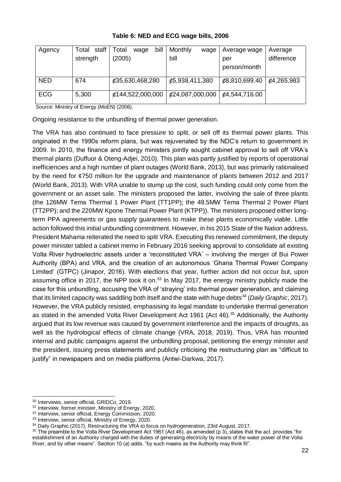| Agency     | Total staff                             | bill<br>Total<br>wage | Monthly<br>wage | Average wage  | Average    |
|------------|-----------------------------------------|-----------------------|-----------------|---------------|------------|
|            | strength                                | (2005)                | bill            | per           | difference |
|            |                                         |                       |                 | person/month  |            |
| <b>NED</b> | 674                                     | ¢35,630,468,280       | ¢5,938,411,380  | ¢8,810,699.40 | ¢4,265,983 |
|            |                                         |                       |                 |               |            |
| <b>ECG</b> | 5,300                                   | ¢144,522,000,000      | £24,087,000,000 | ¢4,544,716.00 |            |
|            | Course Ministru of Energy (McEN) (2008) |                       |                 |               |            |

#### **Table 6: NED and ECG wage bills, 2006**

*Source*: Ministry of Energy (MoEN) (2006).

Ongoing resistance to the unbundling of thermal power generation.

The VRA has also continued to face pressure to split, or sell off its thermal power plants. This originated in the 1990s reform plans, but was rejuvenated by the NDC's return to government in 2009. In 2010, the finance and energy ministers jointly sought cabinet approval to sell off VRA's thermal plants (Duffuor & Oteng-Adjei, 2010). This plan was partly justified by reports of operational inefficiencies and a high number of plant outages (World Bank, 2013), but was primarily rationalised by the need for ¢750 million for the upgrade and maintenance of plants between 2012 and 2017 (World Bank, 2013). With VRA unable to stump up the cost, such funding could only come from the government or an asset sale. The ministers proposed the latter, involving the sale of three plants (the 126MW Tema Thermal 1 Power Plant (TT1PP); the 49.5MW Tema Thermal 2 Power Plant (TT2PP); and the 220MW Kpone Thermal Power Plant (KTPP)). The ministers proposed either longterm PPA agreements or gas supply guarantees to make these plants economically viable. Little action followed this initial unbundling commitment. However, in his 2015 State of the Nation address, President Mahama reiterated the need to split VRA. Executing this renewed commitment, the deputy power minister tabled a cabinet memo in February 2016 seeking approval to consolidate all existing Volta River hydroelectric assets under a 'reconstituted VRA' – involving the merger of Bui Power Authority (BPA) and VRA, and the creation of an autonomous 'Ghana Thermal Power Company Limited' (GTPC) (Jinapor, 2016). With elections that year, further action did not occur but, upon assuming office in 2017, the NPP took it on.<sup>33</sup> In May 2017, the energy ministry publicly made the case for this unbundling, accusing the VRA of 'straying' into thermal power generation, and claiming that its limited capacity was saddling both itself and the state with huge debts<sup>34</sup> (*Daily Graphic*, 2017). However, the VRA publicly resisted, emphasising its legal mandate to undertake thermal generation as stated in the amended Volta River Development Act 1961 (Act 46).<sup>35</sup> Additionally, the Authority argued that its low revenue was caused by government interference and the impacts of droughts, as well as the hydrological effects of climate change (VRA, 2018, 2019). Thus, VRA has mounted internal and public campaigns against the unbundling proposal, petitioning the energy minister and the president, issuing press statements and publicly criticising the restructuring plan as "difficult to justify" in newspapers and on media platforms (Antwi-Darkwa, 2017).

<sup>-</sup><sup>30</sup> Interviews, senior official, GRIDCo, 2019.

<sup>&</sup>lt;sup>31</sup> Interview, former minister, Ministry of Energy, 2020.

<sup>&</sup>lt;sup>32</sup> Interview, senior official, Energy Commission, 2020.

<sup>33</sup> Interview. senior official, Ministry of Energy, 2020.

<sup>&</sup>lt;sup>34</sup> Daily Graphic (2017). Restructuring the VRA to focus on hydrogeneration, 23rd August, 2017.

<sup>35</sup> The preamble to the Volta River Development Act 1961 (Act 46), as amended (p 3), states that the act provides "for establishment of an Authority charged with the duties of generating electricity by means of the water power of the Volta River, and by other means". Section 10 (a) adds. "by such means as the Authority may think fit".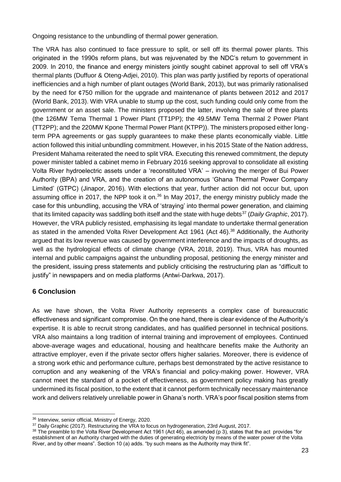Ongoing resistance to the unbundling of thermal power generation.

The VRA has also continued to face pressure to split, or sell off its thermal power plants. This originated in the 1990s reform plans, but was rejuvenated by the NDC's return to government in 2009. In 2010, the finance and energy ministers jointly sought cabinet approval to sell off VRA's thermal plants (Duffuor & Oteng-Adjei, 2010). This plan was partly justified by reports of operational inefficiencies and a high number of plant outages (World Bank, 2013), but was primarily rationalised by the need for ¢750 million for the upgrade and maintenance of plants between 2012 and 2017 (World Bank, 2013). With VRA unable to stump up the cost, such funding could only come from the government or an asset sale. The ministers proposed the latter, involving the sale of three plants (the 126MW Tema Thermal 1 Power Plant (TT1PP); the 49.5MW Tema Thermal 2 Power Plant (TT2PP); and the 220MW Kpone Thermal Power Plant (KTPP)). The ministers proposed either longterm PPA agreements or gas supply guarantees to make these plants economically viable. Little action followed this initial unbundling commitment. However, in his 2015 State of the Nation address, President Mahama reiterated the need to split VRA. Executing this renewed commitment, the deputy power minister tabled a cabinet memo in February 2016 seeking approval to consolidate all existing Volta River hydroelectric assets under a 'reconstituted VRA' – involving the merger of Bui Power Authority (BPA) and VRA, and the creation of an autonomous 'Ghana Thermal Power Company Limited' (GTPC) (Jinapor, 2016). With elections that year, further action did not occur but, upon assuming office in 2017, the NPP took it on. $36$  In May 2017, the energy ministry publicly made the case for this unbundling, accusing the VRA of 'straying' into thermal power generation, and claiming that its limited capacity was saddling both itself and the state with huge debts<sup>37</sup> (*Daily Graphic*, 2017). However, the VRA publicly resisted, emphasising its legal mandate to undertake thermal generation as stated in the amended Volta River Development Act 1961 (Act 46).<sup>38</sup> Additionally, the Authority argued that its low revenue was caused by government interference and the impacts of droughts, as well as the hydrological effects of climate change (VRA, 2018, 2019). Thus, VRA has mounted internal and public campaigns against the unbundling proposal, petitioning the energy minister and the president, issuing press statements and publicly criticising the restructuring plan as "difficult to justify" in newspapers and on media platforms (Antwi-Darkwa, 2017).

#### **6 Conclusion**

As we have shown, the Volta River Authority represents a complex case of bureaucratic effectiveness and significant compromise. On the one hand, there is clear evidence of the Authority's expertise. It is able to recruit strong candidates, and has qualified personnel in technical positions. VRA also maintains a long tradition of internal training and improvement of employees. Continued above-average wages and educational, housing and healthcare benefits make the Authority an attractive employer, even if the private sector offers higher salaries. Moreover, there is evidence of a strong work ethic and performance culture, perhaps best demonstrated by the active resistance to corruption and any weakening of the VRA's financial and policy-making power. However, VRA cannot meet the standard of a pocket of effectiveness, as government policy making has greatly undermined its fiscal position, to the extent that it cannot perform technically necessary maintenance work and delivers relatively unreliable power in Ghana's north. VRA's poor fiscal position stems from

<sup>-</sup><sup>36</sup> Interview, senior official, Ministry of Energy, 2020.

<sup>&</sup>lt;sup>37</sup> Daily Graphic (2017). Restructuring the VRA to focus on hydrogeneration, 23rd August, 2017.

<sup>38</sup> The preamble to the Volta River Development Act 1961 (Act 46), as amended (p 3), states that the act provides "for establishment of an Authority charged with the duties of generating electricity by means of the water power of the Volta River, and by other means". Section 10 (a) adds. "by such means as the Authority may think fit".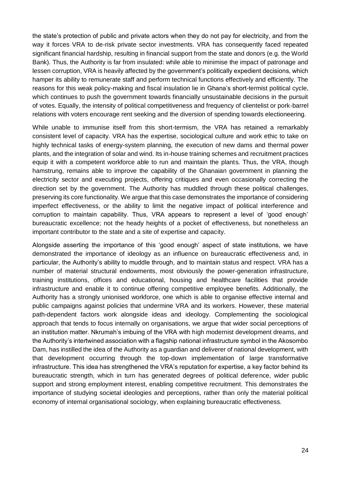the state's protection of public and private actors when they do not pay for electricity, and from the way it forces VRA to de-risk private sector investments. VRA has consequently faced repeated significant financial hardship, resulting in financial support from the state and donors (e.g. the World Bank). Thus, the Authority is far from insulated: while able to minimise the impact of patronage and lessen corruption, VRA is heavily affected by the government's politically expedient decisions, which hamper its ability to remunerate staff and perform technical functions effectively and efficiently. The reasons for this weak policy-making and fiscal insulation lie in Ghana's short-termist political cycle, which continues to push the government towards financially unsustainable decisions in the pursuit of votes. Equally, the intensity of political competitiveness and frequency of clientelist or pork-barrel relations with voters encourage rent seeking and the diversion of spending towards electioneering.

While unable to immunise itself from this short-termism, the VRA has retained a remarkably consistent level of capacity. VRA has the expertise, sociological culture and work ethic to take on highly technical tasks of energy-system planning, the execution of new dams and thermal power plants, and the integration of solar and wind. Its in-house training schemes and recruitment practices equip it with a competent workforce able to run and maintain the plants. Thus, the VRA, though hamstrung, remains able to improve the capability of the Ghanaian government in planning the electricity sector and executing projects, offering critiques and even occasionally correcting the direction set by the government. The Authority has muddled through these political challenges, preserving its core functionality. We argue that this case demonstrates the importance of considering imperfect effectiveness, or the ability to limit the negative impact of political interference and corruption to maintain capability. Thus, VRA appears to represent a level of 'good enough' bureaucratic excellence; not the heady heights of a pocket of effectiveness, but nonetheless an important contributor to the state and a site of expertise and capacity.

Alongside asserting the importance of this 'good enough' aspect of state institutions, we have demonstrated the importance of ideology as an influence on bureaucratic effectiveness and, in particular, the Authority's ability to muddle through, and to maintain status and respect. VRA has a number of material structural endowments, most obviously the power-generation infrastructure, training institutions, offices and educational, housing and healthcare facilities that provide infrastructure and enable it to continue offering competitive employee benefits. Additionally, the Authority has a strongly unionised workforce, one which is able to organise effective internal and public campaigns against policies that undermine VRA and its workers. However, these material path-dependent factors work alongside ideas and ideology. Complementing the sociological approach that tends to focus internally on organisations, we argue that wider social perceptions of an institution matter. Nkrumah's imbuing of the VRA with high modernist development dreams, and the Authority's intertwined association with a flagship national infrastructure symbol in the Akosombo Dam, has instilled the idea of the Authority as a guardian and deliverer of national development, with that development occurring through the top-down implementation of large transformative infrastructure. This idea has strengthened the VRA's reputation for expertise, a key factor behind its bureaucratic strength, which in turn has generated degrees of political deference, wider public support and strong employment interest, enabling competitive recruitment. This demonstrates the importance of studying societal ideologies and perceptions, rather than only the material political economy of internal organisational sociology, when explaining bureaucratic effectiveness.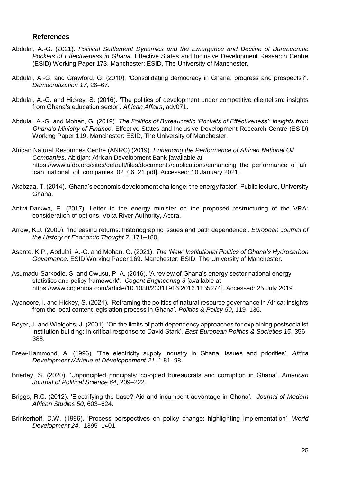#### **References**

- Abdulai, A.-G. (2021). *Political Settlement Dynamics and the Emergence and Decline of Bureaucratic Pockets of Effectiveness in Ghana*. Effective States and Inclusive Development Research Centre (ESID) Working Paper 173. Manchester: ESID, The University of Manchester.
- Abdulai, A.-G. and Crawford, G. (2010). 'Consolidating democracy in Ghana: progress and prospects?'. *Democratization 17*, 26–67.
- Abdulai, A.-G. and Hickey, S. (2016). 'The politics of development under competitive clientelism: insights from Ghana's education sector'. *African Affairs*, adv071.
- Abdulai, A.-G. and Mohan, G. (2019). *The Politics of Bureaucratic 'Pockets of Effectiveness': Insights from Ghana's Ministry of Finance*. Effective States and Inclusive Development Research Centre (ESID) Working Paper 119. Manchester: ESID, The University of Manchester.
- African Natural Resources Centre (ANRC) (2019). *Enhancing the Performance of African National Oil Companies*. Abidjan: African Development Bank [available at https://www.afdb.org/sites/default/files/documents/publications/enhancing the performance of afr ican\_national\_oil\_companies\_02\_06\_21.pdf]. Accessed: 10 January 2021.
- Akabzaa, T. (2014). 'Ghana's economic development challenge: the energy factor'. Public lecture, University Ghana.
- Antwi-Darkwa, E. (2017). Letter to the energy minister on the proposed restructuring of the VRA: consideration of options. Volta River Authority, Accra.
- Arrow, K.J. (2000). 'Increasing returns: historiographic issues and path dependence'. *European Journal of the History of Economic Thought 7*, 171–180.
- Asante, K.P., Abdulai, A.-G. and Mohan, G. (2021). *The 'New' Institutional Politics of Ghana's Hydrocarbon Governance*. ESID Working Paper 169. Manchester: ESID, The University of Manchester.
- Asumadu-Sarkodie, S. and Owusu, P. A. (2016). 'A review of Ghana's energy sector national energy statistics and policy framework'. *Cogent Engineering 3* [available at https://www.cogentoa.com/article/10.1080/23311916.2016.1155274]. Accessed: 25 July 2019.
- Ayanoore, I. and Hickey, S. (2021). 'Reframing the politics of natural resource governance in Africa: insights from the local content legislation process in Ghana'. *Politics & Policy 50*, 119–136.
- Beyer, J. and Wielgohs, J. (2001). 'On the limits of path dependency approaches for explaining postsocialist institution building: in critical response to David Stark'. *East European Politics & Societies 15*, 356– 388.
- Brew-Hammond, A. (1996). 'The electricity supply industry in Ghana: issues and priorities'. *Africa Development /Afrique et Développement 21*, 1 81–98.
- Brierley, S. (2020). 'Unprincipled principals: co‐opted bureaucrats and corruption in Ghana'. *American Journal of Political Science 64*, 209–222.
- Briggs, R.C. (2012). 'Electrifying the base? Aid and incumbent advantage in Ghana'. *Journal of Modern African Studies 50*, 603–624.
- Brinkerhoff, D.W. (1996). 'Process perspectives on policy change: highlighting implementation'. *World Development 24*, 1395–1401.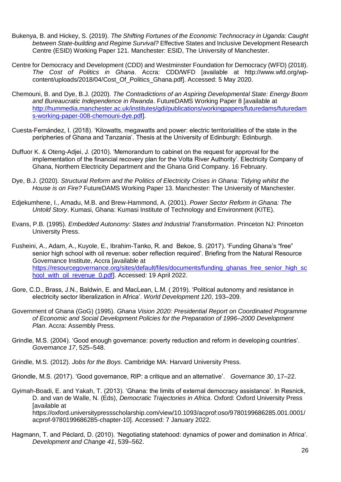- Bukenya, B. and Hickey, S. (2019). *The Shifting Fortunes of the Economic Technocracy in Uganda: Caught between State-building and Regime Survival?* Effective States and Inclusive Development Research Centre (ESID) Working Paper 121. Manchester: ESID, The University of Manchester.
- Centre for Democracy and Development (CDD) and Westminster Foundation for Democracy (WFD) (2018). *The Cost of Politics in Ghana*. Accra: CDD/WFD [available at http://www.wfd.org/wpcontent/uploads/2018/04/Cost\_Of\_Politics\_Ghana.pdf]. Accessed: 5 May 2020.
- Chemouni, B. and Dye, B.J. (2020). *The Contradictions of an Aspiring Developmental State: Energy Boom and Bureaucratic Independence in Rwanda*. FutureDAMS Working Paper 8 [available at [http://hummedia.manchester.ac.uk/institutes/gdi/publications/workingpapers/futuredams/futuredam](http://hummedia.manchester.ac.uk/institutes/gdi/publications/workingpapers/futuredams/futuredams-working-paper-008-chemouni-dye.pdf) [s-working-paper-008-chemouni-dye.pdf\]](http://hummedia.manchester.ac.uk/institutes/gdi/publications/workingpapers/futuredams/futuredams-working-paper-008-chemouni-dye.pdf).
- Cuesta-Fernández, I. (2018). 'Kilowatts, megawatts and power: electric territorialities of the state in the peripheries of Ghana and Tanzania'. Thesis at the University of Edinburgh: Edinburgh.
- Duffuor K. & Oteng-Adjei, J. (2010). 'Memorandum to cabinet on the request for approval for the implementation of the financial recovery plan for the Volta River Authority'. Electricity Company of Ghana, Northern Electricity Department and the Ghana Grid Company. 16 February.
- Dye, B.J. (2020). *Structural Reform and the Politics of Electricity Crises in Ghana: Tidying whilst the House is on Fire?* FutureDAMS Working Paper 13. Manchester: The University of Manchester.
- Edjekumhene, I., Amadu, M.B. and Brew-Hammond, A. (2001). *Power Sector Reform in Ghana: The Untold Story*. Kumasi, Ghana: Kumasi Institute of Technology and Environment (KITE).
- Evans, P.B. (1995). *Embedded Autonomy: States and Industrial Transformation*. Princeton NJ: Princeton University Press.
- Fusheini, A., Adam, A., Kuyole, E., Ibrahim-Tanko, R. and Bekoe, S. (2017). 'Funding Ghana's "free" senior high school with oil revenue: sober reflection required'. Briefing from the Natural Resource Governance Institute, Accra [available at [https://resourcegovernance.org/sites/default/files/documents/funding\\_ghanas\\_free\\_senior\\_high\\_sc](https://resourcegovernance.org/sites/default/files/documents/funding_ghanas_free_senior_high_school_with_oil_revenue_0.pdf) [hool\\_with\\_oil\\_revenue\\_0.pdf\]](https://resourcegovernance.org/sites/default/files/documents/funding_ghanas_free_senior_high_school_with_oil_revenue_0.pdf). Accessed: 19 April 2022.
- Gore, C.D., Brass, J.N., Baldwin, E. and MacLean, L.M. ( 2019). 'Political autonomy and resistance in electricity sector liberalization in Africa'. *World Development 120*, 193–209.
- Government of Ghana (GoG) (1995). *Ghana Vision 2020: Presidential Report on Coordinated Programme of Economic and Social Development Policies for the Preparation of 1996–2000 Development Plan*. Accra: Assembly Press.
- Grindle, M.S. (2004). 'Good enough governance: poverty reduction and reform in developing countries'. *Governance 17*, 525–548.
- Grindle, M.S. (2012). *Jobs for the Boys*. Cambridge MA: Harvard University Press.
- Griondle, M.S. (2017). 'Good governance, RIP: a critique and an alternative'. *Governance 30*, 17–22.
- Gyimah-Boadi, E. and Yakah, T. (2013). 'Ghana: the limits of external democracy assistance'. In Resnick, D. and van de Walle, N. (Eds), *Democratic Trajectories in Africa*. Oxford: Oxford University Press [available at https://oxford.universitypressscholarship.com/view/10.1093/acprof:oso/9780199686285.001.0001/ acprof-9780199686285-chapter-10]. Accessed: 7 January 2022.
- Hagmann, T. and Péclard, D. (2010). 'Negotiating statehood: dynamics of power and domination in Africa'. *Development and Change 41*, 539–562.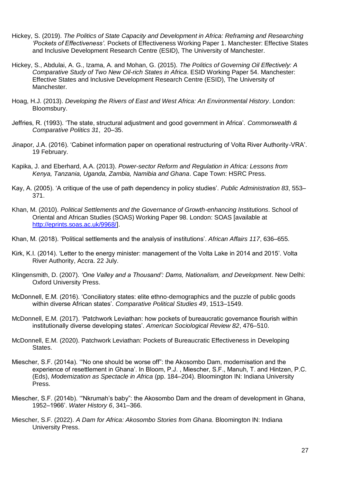- Hickey, S. (2019). *The Politics of State Capacity and Development in Africa: Reframing and Researching 'Pockets of Effectiveness'*. Pockets of Effectiveness Working Paper 1. Manchester: Effective States and Inclusive Development Research Centre (ESID), The University of Manchester.
- Hickey, S., Abdulai, A. G., Izama, A. and Mohan, G. (2015). *The Politics of Governing Oil Effectively: A Comparative Study of Two New Oil-rich States in Africa*. ESID Working Paper 54. Manchester: Effective States and Inclusive Development Research Centre (ESID), The University of Manchester.
- Hoag, H.J. (2013). *Developing the Rivers of East and West Africa: An Environmental History*. London: Bloomsbury.
- Jeffries, R. (1993). 'The state, structural adjustment and good government in Africa'. *Commonwealth & Comparative Politics 31*, 20–35.
- Jinapor, J.A. (2016). 'Cabinet information paper on operational restructuring of Volta River Authority-VRA'. 19 February.
- Kapika, J. and Eberhard, A.A. (2013). *Power-sector Reform and Regulation in Africa: Lessons from Kenya, Tanzania, Uganda, Zambia, Namibia and Ghana*. Cape Town: HSRC Press.
- Kay, A. (2005). 'A critique of the use of path dependency in policy studies'. *Public Administration 83*, 553– 371.
- Khan, M. (2010). *Political Settlements and the Governance of Growth-enhancing Institutions*. School of Oriental and African Studies (SOAS) Working Paper 98. London: SOAS [available at [http://eprints.soas.ac.uk/9968/\]](http://eprints.soas.ac.uk/9968/).
- Khan, M. (2018). 'Political settlements and the analysis of institutions'. *African Affairs 117*, 636–655.
- Kirk, K.I. (2014). 'Letter to the energy minister: management of the Volta Lake in 2014 and 2015'. Volta River Authority, Accra. 22 July.
- Klingensmith, D. (2007). *'One Valley and a Thousand': Dams, Nationalism, and Development*. New Delhi: Oxford University Press.
- McDonnell, E.M. (2016). 'Conciliatory states: elite ethno-demographics and the puzzle of public goods within diverse African states'. *Comparative Political Studies 49*, 1513–1549.
- McDonnell, E.M. (2017). 'Patchwork Leviathan: how pockets of bureaucratic governance flourish within institutionally diverse developing states'. *American Sociological Review 82*, 476–510.
- McDonnell, E.M. (2020). Patchwork Leviathan: Pockets of Bureaucratic Effectiveness in Developing States.
- Miescher, S.F. (2014a). '"No one should be worse off": the Akosombo Dam, modernisation and the experience of resettlement in Ghana'. In Bloom, P.J. , Miescher, S.F., Manuh, T. and Hintzen, P.C. (Eds), *Modernization as Spectacle in Africa* (pp. 184–204). Bloomington IN: Indiana University Press.
- Miescher, S.F. (2014b). '"Nkrumah's baby": the Akosombo Dam and the dream of development in Ghana, 1952–1966'. *Water History 6*, 341–366.
- Miescher, S.F. (2022). *A Dam for Africa: Akosombo Stories from Ghana*. Bloomington IN: Indiana University Press.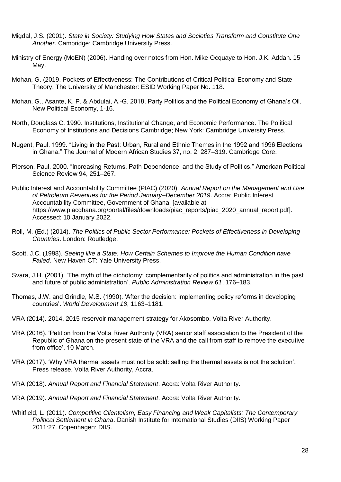- Migdal, J.S. (2001). *State in Society: Studying How States and Societies Transform and Constitute One Another*. Cambridge: Cambridge University Press.
- Ministry of Energy (MoEN) (2006). Handing over notes from Hon. Mike Ocquaye to Hon. J.K. Addah. 15 May.
- Mohan, G. (2019. Pockets of Effectiveness: The Contributions of Critical Political Economy and State Theory. The University of Manchester: ESID Working Paper No. 118.
- Mohan, G., Asante, K. P. & Abdulai, A.-G. 2018. Party Politics and the Political Economy of Ghana's Oil. New Political Economy, 1-16.
- North, Douglass C. 1990. Institutions, Institutional Change, and Economic Performance. The Political Economy of Institutions and Decisions Cambridge; New York: Cambridge University Press.
- Nugent, Paul. 1999. "Living in the Past: Urban, Rural and Ethnic Themes in the 1992 and 1996 Elections in Ghana." The Journal of Modern African Studies 37, no. 2: 287–319. Cambridge Core.
- Pierson, Paul. 2000. "Increasing Returns, Path Dependence, and the Study of Politics." American Political Science Review 94, 251–267.
- Public Interest and Accountability Committee (PIAC) (2020). *Annual Report on the Management and Use of Petroleum Revenues for the Period January–December 2019*. Accra: Public Interest Accountability Committee, Government of Ghana [available at https://www.piacghana.org/portal/files/downloads/piac\_reports/piac\_2020\_annual\_report.pdf]. Accessed: 10 January 2022.
- Roll, M. (Ed.) (2014). *The Politics of Public Sector Performance: Pockets of Effectiveness in Developing Countries*. London: Routledge.
- Scott, J.C. (1998). *Seeing like a State: How Certain Schemes to Improve the Human Condition have Failed*. New Haven CT: Yale University Press.
- Svara, J.H. (2001). 'The myth of the dichotomy: complementarity of politics and administration in the past and future of public administration'. *Public Administration Review 61*, 176–183.
- Thomas, J.W. and Grindle, M.S. (1990). 'After the decision: implementing policy reforms in developing countries'. *World Development 18*, 1163–1181.
- VRA (2014). 2014, 2015 reservoir management strategy for Akosombo. Volta River Authority.
- VRA (2016). 'Petition from the Volta River Authority (VRA) senior staff association to the President of the Republic of Ghana on the present state of the VRA and the call from staff to remove the executive from office'. 10 March.
- VRA (2017). 'Why VRA thermal assets must not be sold: selling the thermal assets is not the solution'. Press release. Volta River Authority, Accra.
- VRA (2018). *Annual Report and Financial Statement*. Accra: Volta River Authority.
- VRA (2019). *Annual Report and Financial Statement*. Accra: Volta River Authority.
- Whitfield, L. (2011). *Competitive Clientelism, Easy Financing and Weak Capitalists: The Contemporary Political Settlement in Ghana*. Danish Institute for International Studies (DIIS) Working Paper 2011:27. Copenhagen: DIIS.